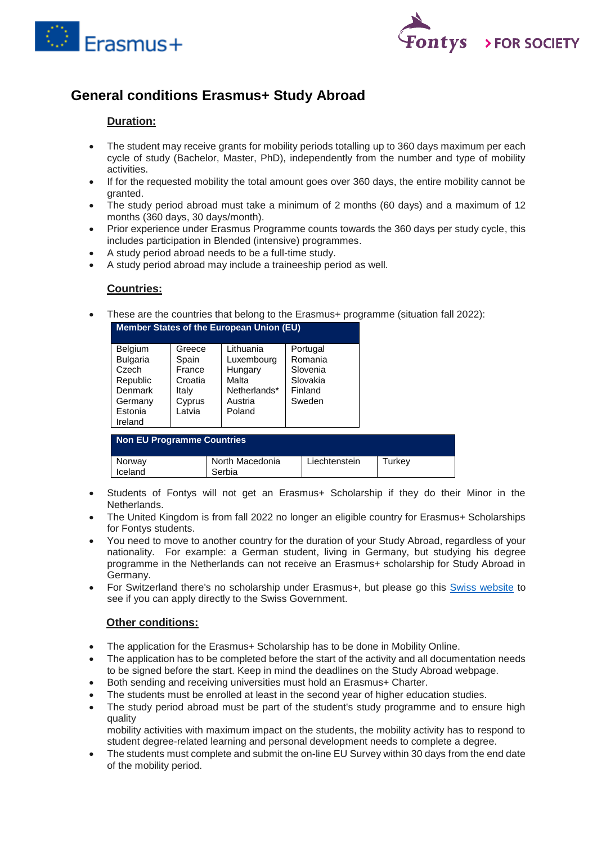



# **General conditions Erasmus+ Study Abroad**

### **Duration:**

- The student may receive grants for mobility periods totalling up to 360 days maximum per each cycle of study (Bachelor, Master, PhD), independently from the number and type of mobility activities.
- If for the requested mobility the total amount goes over 360 days, the entire mobility cannot be granted.
- The study period abroad must take a minimum of 2 months (60 days) and a maximum of 12 months (360 days, 30 days/month).
- Prior experience under Erasmus Programme counts towards the 360 days per study cycle, this includes participation in Blended (intensive) programmes.
- A study period abroad needs to be a full-time study.
- A study period abroad may include a traineeship period as well.

#### **Countries:**

These are the countries that belong to the Erasmus+ programme (situation fall 2022):

| Member States of the European Union (EU)                                     |                                                         |                                                                        |                                                                  |  |  |  |
|------------------------------------------------------------------------------|---------------------------------------------------------|------------------------------------------------------------------------|------------------------------------------------------------------|--|--|--|
| <b>Belgium</b><br><b>Bulgaria</b><br>Czech<br>Republic<br>Denmark<br>Germany | Greece<br>Spain<br>France<br>Croatia<br>Italy<br>Cyprus | Lithuania<br>Luxembourg<br>Hungary<br>Malta<br>Netherlands*<br>Austria | Portugal<br>Romania<br>Slovenia<br>Slovakia<br>Finland<br>Sweden |  |  |  |
| Estonia<br>Ireland                                                           | Latvia                                                  | Poland                                                                 |                                                                  |  |  |  |

| Non EU Programme Countries |                           |               |        |  |  |  |
|----------------------------|---------------------------|---------------|--------|--|--|--|
| Norway<br>Iceland          | North Macedonia<br>Serbia | Liechtenstein | Turkey |  |  |  |

- Students of Fontys will not get an Erasmus+ Scholarship if they do their Minor in the Netherlands.
- The United Kingdom is from fall 2022 no longer an eligible country for Erasmus+ Scholarships for Fontys students.
- You need to move to another country for the duration of your Study Abroad, regardless of your nationality. For example: a German student, living in Germany, but studying his degree programme in the Netherlands can not receive an Erasmus+ scholarship for Study Abroad in Germany.
- For Switzerland there's no scholarship under Erasmus+, but please go this [Swiss website](https://www.movetia.ch/en/programmes/swiss-programme-for-erasmus/higher-education/mobility/) to see if you can apply directly to the Swiss Government.

## **Other conditions:**

- The application for the Erasmus+ Scholarship has to be done in Mobility Online.
- The application has to be completed before the start of the activity and all documentation needs to be signed before the start. Keep in mind the deadlines on the Study Abroad webpage.
- Both sending and receiving universities must hold an Erasmus+ Charter.
- The students must be enrolled at least in the second year of higher education studies.
- The study period abroad must be part of the student's study programme and to ensure high quality

mobility activities with maximum impact on the students, the mobility activity has to respond to student degree-related learning and personal development needs to complete a degree.

• The students must complete and submit the on-line EU Survey within 30 days from the end date of the mobility period.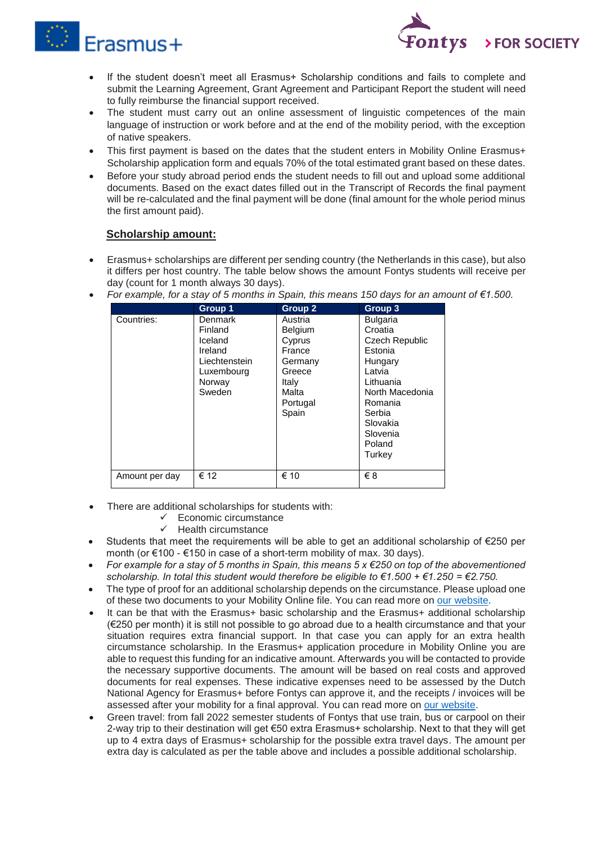



- If the student doesn't meet all Erasmus+ Scholarship conditions and fails to complete and submit the Learning Agreement, Grant Agreement and Participant Report the student will need to fully reimburse the financial support received.
- The student must carry out an online assessment of linguistic competences of the main language of instruction or work before and at the end of the mobility period, with the exception of native speakers.
- This first payment is based on the dates that the student enters in Mobility Online Erasmus+ Scholarship application form and equals 70% of the total estimated grant based on these dates.
- Before your study abroad period ends the student needs to fill out and upload some additional documents. Based on the exact dates filled out in the Transcript of Records the final payment will be re-calculated and the final payment will be done (final amount for the whole period minus the first amount paid).

# **Scholarship amount:**

 Erasmus+ scholarships are different per sending country (the Netherlands in this case), but also it differs per host country. The table below shows the amount Fontys students will receive per day (count for 1 month always 30 days).

|                | Group 1                                                                                     | <b>Group 2</b>                                                                                            | Group 3                                                                                                                                                                       |
|----------------|---------------------------------------------------------------------------------------------|-----------------------------------------------------------------------------------------------------------|-------------------------------------------------------------------------------------------------------------------------------------------------------------------------------|
| Countries:     | Denmark<br>Finland<br>Iceland<br>Ireland<br>Liechtenstein<br>Luxembourg<br>Norway<br>Sweden | Austria<br><b>Belgium</b><br>Cyprus<br>France<br>Germany<br>Greece<br>Italy<br>Malta<br>Portugal<br>Spain | <b>Bulgaria</b><br>Croatia<br>Czech Republic<br>Estonia<br>Hungary<br>Latvia<br>Lithuania<br>North Macedonia<br>Romania<br>Serbia<br>Slovakia<br>Slovenia<br>Poland<br>Turkey |
| Amount per day | € 12                                                                                        | € 10                                                                                                      | €8                                                                                                                                                                            |

*For example, for a stay of 5 months in Spain, this means 150 days for an amount of €1.500.* 

- There are additional scholarships for students with:
	- $\checkmark$  Economic circumstance
	- $\checkmark$  Health circumstance
- Students that meet the requirements will be able to get an additional scholarship of €250 per month (or €100 - €150 in case of a short-term mobility of max. 30 days).
- *For example for a stay of 5 months in Spain, this means 5 x €250 on top of the abovementioned scholarship. In total this student would therefore be eligible to €1.500 + €1.250 = €2.750.*
- The type of proof for an additional scholarship depends on the circumstance. Please upload one of these two documents to your Mobility Online file. You can read more on [our website.](https://fontys.edu/Fontys-Study-Abroad/Scholarships-23/Erasmus-Scholarships.htm)
- It can be that with the Erasmus+ basic scholarship and the Erasmus+ additional scholarship (€250 per month) it is still not possible to go abroad due to a health circumstance and that your situation requires extra financial support. In that case you can apply for an extra health circumstance scholarship. In the Erasmus+ application procedure in Mobility Online you are able to request this funding for an indicative amount. Afterwards you will be contacted to provide the necessary supportive documents. The amount will be based on real costs and approved documents for real expenses. These indicative expenses need to be assessed by the Dutch National Agency for Erasmus+ before Fontys can approve it, and the receipts / invoices will be assessed after your mobility for a final approval. You can read more on [our website.](https://fontys.edu/Fontys-Study-Abroad/Scholarships-23/Erasmus-Scholarships.htm)
- Green travel: from fall 2022 semester students of Fontys that use train, bus or carpool on their 2-way trip to their destination will get €50 extra Erasmus+ scholarship. Next to that they will get up to 4 extra days of Erasmus+ scholarship for the possible extra travel days. The amount per extra day is calculated as per the table above and includes a possible additional scholarship.